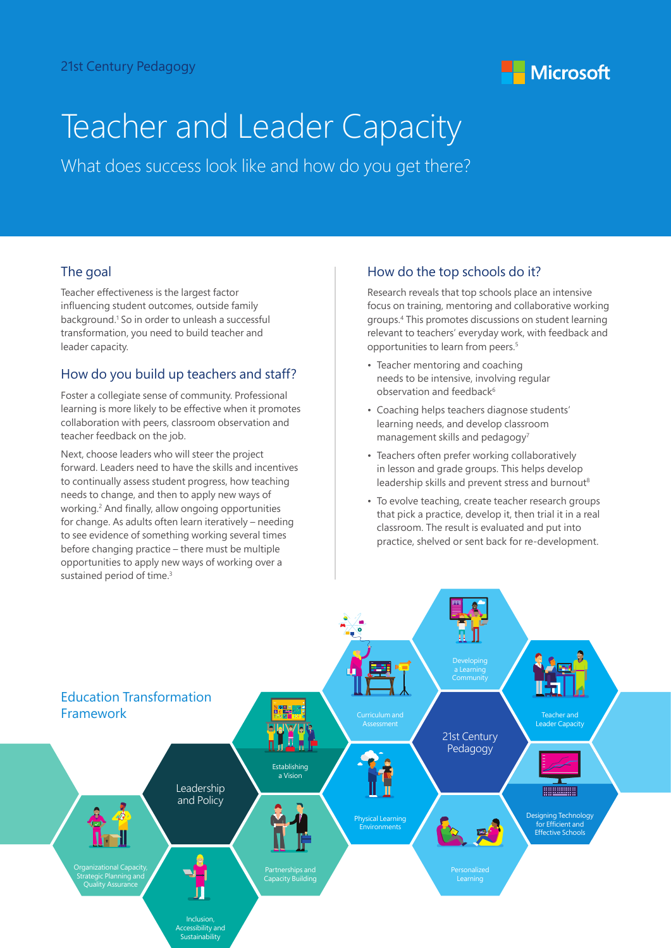

# Teacher and Leader Capacity

What does success look like and how do you get there?

## The goal

Teacher effectiveness is the largest factor influencing student outcomes, outside family background.<sup>1</sup> So in order to unleash a successful transformation, you need to build teacher and leader capacity.

## How do you build up teachers and staff?

Foster a collegiate sense of community. Professional learning is more likely to be effective when it promotes collaboration with peers, classroom observation and teacher feedback on the job.

Next, choose leaders who will steer the project forward. Leaders need to have the skills and incentives to continually assess student progress, how teaching needs to change, and then to apply new ways of working.<sup>2</sup> And finally, allow ongoing opportunities for change. As adults often learn iteratively – needing to see evidence of something working several times before changing practice – there must be multiple opportunities to apply new ways of working over a sustained period of time.<sup>3</sup>

## How do the top schools do it?

Research reveals that top schools place an intensive focus on training, mentoring and collaborative working groups.<sup>4</sup> This promotes discussions on student learning relevant to teachers' everyday work, with feedback and opportunities to learn from peers.<sup>5</sup>

- Teacher mentoring and coaching needs to be intensive, involving regular observation and feedback<sup>6</sup>
- Coaching helps teachers diagnose students' learning needs, and develop classroom management skills and pedagogy<sup>7</sup>
- Teachers often prefer working collaboratively in lesson and grade groups. This helps develop leadership skills and prevent stress and burnout<sup>8</sup>
- To evolve teaching, create teacher research groups that pick a practice, develop it, then trial it in a real classroom. The result is evaluated and put into practice, shelved or sent back for re-development.